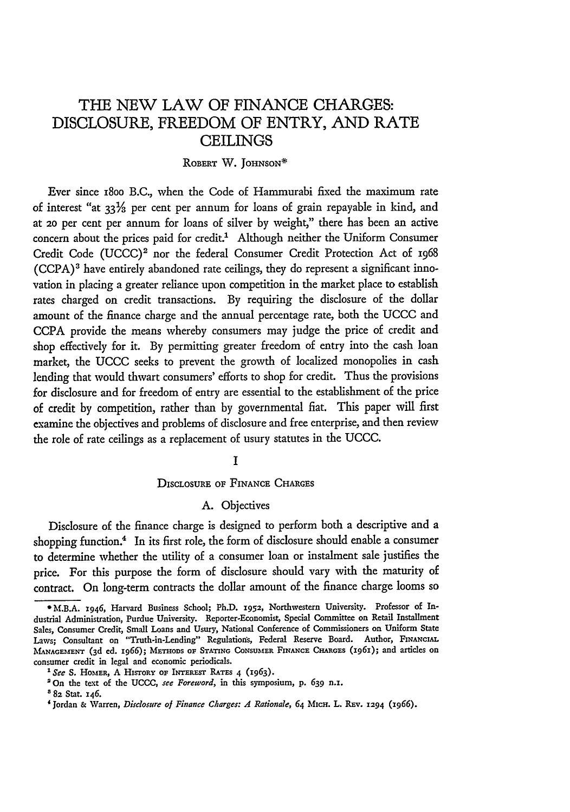# THE NEW LAW OF FINANCE CHARGES: DISCLOSURE, FREEDOM OF ENTRY, **AND** RATE CEILINGS

#### ROBERT W. **JOHNSON\***

Ever since i8oo B.C., when the Code of Hammurabi fixed the maximum rate of interest "at **33%** per cent per annum for loans of grain repayable in kind, and at 20 per cent per annum for loans of silver by weight," there has been an active concern about the prices paid for credit.' Although neither the Uniform Consumer Credit Code (UCCC)<sup>2</sup> nor the federal Consumer Credit Protection Act of 1968 (CCPA) 3 have entirely abandoned rate ceilings, they do represent a significant innovation in placing a greater reliance upon competition in the market place to establish rates charged on credit transactions. By requiring the disclosure of the dollar amount of the finance charge and the annual percentage rate, both the UCCC and CCPA provide the means whereby consumers may judge the price of credit and shop effectively for it. By permitting greater freedom of entry into the cash loan market, the UCCC seeks to prevent the growth of localized monopolies in cash lending that would thwart consumers' efforts to shop for credit. Thus the provisions for disclosure and for freedom of entry are essential to the establishment of the price of credit by competition, rather than by governmental fiat. This paper will first examine the objectives and problems of disclosure and free enterprise, and then review the role of rate ceilings as a replacement of usury statutes in the UCCC.

## **I**

#### **DISCLOSURE** OF FINANCE CHARGES

### A. Objectives

Disclosure of the finance charge is designed to perform both a descriptive and a shopping function.4 In its first role, the form of disclosure should enable a consumer to determine whether the utility of a consumer loan or instalment sale justifies the price. For this purpose the form of disclosure should vary with the maturity of contract. On long-term contracts the dollar amount of the finance charge looms so

<sup>\*</sup>M.B.A. 1946, Harvard Business School; Ph.D. **1952,** Northwestern University. Professor of **In**dustrial Administration, Purdue University. Reporter-Economist, Special Committee on Retail Installment Sales, Consumer Credit, Small Loans and Usury, National Conference of Commissioners on Uniform State Laws; Consultant on "Truth-in-Lending" Regulations, Federal Reserve Board. Author, FINANCIAL MANAGEMENT (3d ed. 1966); METHODS OF STATING CONSUMER FINANCE CHARGES (1961); and articles on consumer credit in legal and economic periodicals.

<sup>&</sup>lt;sup>1</sup> See S. HOMER, A HISTORY OF INTEREST RATES 4 (1963).

a On the text of the **UCCO,** *see Foreword,* in this symposium, **p. 639** n.i.

**<sup>&#</sup>x27; 82** Stat. 146.

<sup>&#</sup>x27;Jordan & Warren, *Disclosure of Finance Charges: A Rationale, 64* MicH. L. REv. **1294** (1966).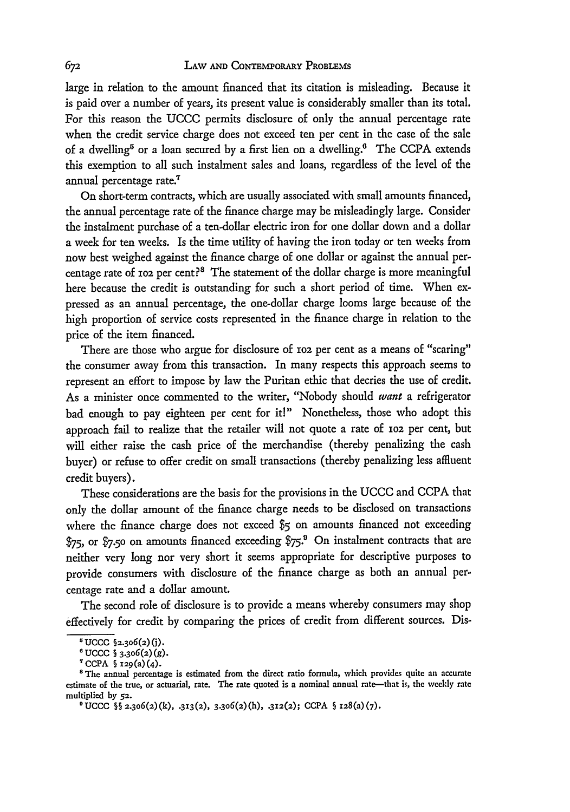large in relation to the amount financed that its citation is misleading. Because it is paid over a number of years, its present value is considerably smaller than its total. For this reason the UCCC permits disclosure of only the annual percentage rate when the credit service charge does not exceed ten per cent in the case of the sale of a dwelling<sup>5</sup> or a loan secured by a first lien on a dwelling.<sup>6</sup> The CCPA extends this exemption to all such instalment sales and loans, regardless of the level of the annual percentage rate.<sup>7</sup>

On short-term contracts, which are usually associated with small amounts financed, the annual percentage rate of the finance charge may be misleadingly large. Consider the instalment purchase of a ten-dollar electric iron for one dollar down and a dollar a week for ten weeks. Is the time utility of having the iron today or ten weeks from now best weighed against the finance charge of one dollar or against the annual percentage rate of 102 per cent?<sup>8</sup> The statement of the dollar charge is more meaningful here because the credit is outstanding for such a short period of time. When expressed as an annual percentage, the one-dollar charge looms large because of the high proportion of service costs represented in the finance charge in relation to the price of the item financed.

There are those who argue for disclosure of 102 per cent as a means of "scaring" the consumer away from this transaction. In many respects this approach seems to represent an effort to impose by law the Puritan ethic that decries the use of credit. As a minister once commented to the writer, "Nobody should *want* a refrigerator bad enough to pay eighteen per cent for it!" Nonetheless, those who adopt this approach fail to realize that the retailer will not quote a rate of *io2* per cent, but will either raise the cash price of the merchandise (thereby penalizing the cash buyer) or refuse to offer credit on small transactions (thereby penalizing less affluent credit buyers).

These considerations are the basis for the provisions in the UCCC and CCPA that only the dollar amount of the finance charge needs to be disclosed on transactions where the finance charge does not exceed \$5 on amounts financed not exceeding  $$75$ , or \$7.50 on amounts financed exceeding  $$75$ . On instalment contracts that are neither very long nor very short it seems appropriate for descriptive purposes to provide consumers with disclosure of the finance charge as both an annual percentage rate and a dollar amount.

The second role of disclosure is to provide a means whereby consumers may shop effectively for credit by comparing the prices of credit from different sources. Dis-

**<sup>5</sup> UCCC §2.306(2) (j).**

<sup>&#</sup>x27;UCCC § **3.306(2) (g).**

 $7$  CCPA  $\frac{1}{2}$  **129(a)(4).** 

<sup>&</sup>lt;sup>8</sup> The annual percentage is estimated from the direct ratio formula, which provides quite an accurate estimate **of** the true, or actuarial, rate. The rate quoted is a nominal annual rate-that is, the weekly rate multiplied **by 52.**

<sup>9</sup>UCCC §§2 .3o6(2)(k), **.353(2),** 3.3o6(2)(h), **.312(2); COPA** § 128(a) ().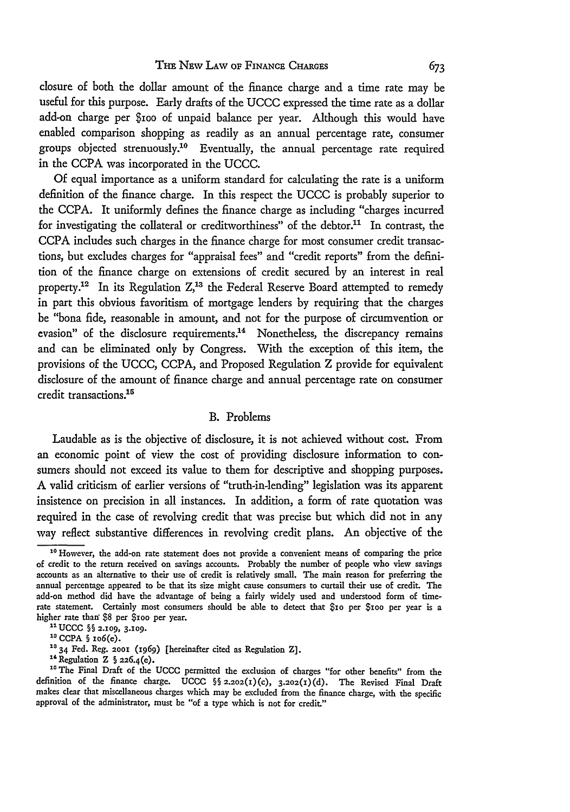closure of both the dollar amount of the finance charge and a time rate may be useful for this purpose. Early drafts of the UCCC expressed the time rate as a dollar add-on charge per \$ioo of unpaid balance per year. Although this would have enabled comparison shopping as readily as an annual percentage rate, consumer groups objected strenuously.<sup>10</sup> Eventually, the annual percentage rate required in the CCPA was incorporated in the **UCCC.**

**Of** equal importance as a uniform standard for calculating the rate is a uniform definition of the finance charge. In this respect the UCCC is probably superior to the CCPA. It uniformly defines the finance charge as including "charges incurred for investigating the collateral or creditworthiness" of the debtor.<sup>11</sup> In contrast, the **CCPA** includes such charges in the finance charge for most consumer credit transactions, but excludes charges for "appraisal fees" and "credit reports" from the definition of the finance charge on extensions of credit secured by an interest in real property.<sup>12</sup> In its Regulation  $Z<sub>1</sub><sup>13</sup>$  the Federal Reserve Board attempted to remedy in part this obvious favoritism of mortgage lenders by requiring that the charges be "bona fide, reasonable in amount, and not for the purpose of circumvention or evasion" of the disclosure requirements.<sup>14</sup> Nonetheless, the discrepancy remains and can be eliminated only by Congress. With the exception of this item, the provisions of the UCCC, CCPA, and Proposed Regulation Z provide for equivalent disclosure of the amount of finance charge and annual percentage rate on consumer credit transactions.<sup>15</sup>

## B. Problems

Laudable as is the objective of disclosure, it is not achieved without cost. From an economic point of view the cost of providing disclosure information to consumers should not exceed its value to them for descriptive and shopping purposes. **A** valid criticism of earlier versions of "truth-in-lending" legislation was its apparent insistence on precision in all instances. In addition, a form of rate quotation was required in the case of revolving credit that was precise but which did not in any way reflect substantive differences in revolving credit plans. An objective of the

**<sup>10</sup>**However, the add-on rate statement does not provide a convenient means of comparing the price of credit to the return received on savings accounts. Probably the number of people who view savings accounts as an alternative to their use of credit is relatively small. The main reason for preferring the annual percentage appeared to be that its size might cause consumers to curtail their use of credit. The add-on method did have the advantage of being a fairly widely used and understood form of timerate statement. Certainly most consumers should be able to detect that \$io per \$ioo per year is a higher rate than \$8 per \$100 per year.

<sup>&</sup>quot;UCCC §§ **2.109, 3.109.**

 $13$  CCPA  $$106(e)$ .

**<sup>1</sup>s 34** Fed. Reg. 2oo1 (1969) [hereinafter cited as Regulation Z].

**<sup>1</sup>** Regulation Z § **226.4(e).**

<sup>&</sup>lt;sup>15</sup> The Final Draft of the UCCC permitted the exclusion of charges "for other benefits" from the definition of the finance charge. UCCC §§ 2.202(5)(c), **3.202()(d).** The Revised Final Draft makes clear that miscellaneous charges which may be excluded from the finance charge, with the specific approval of the administrator, must be "of a type which is not for credit."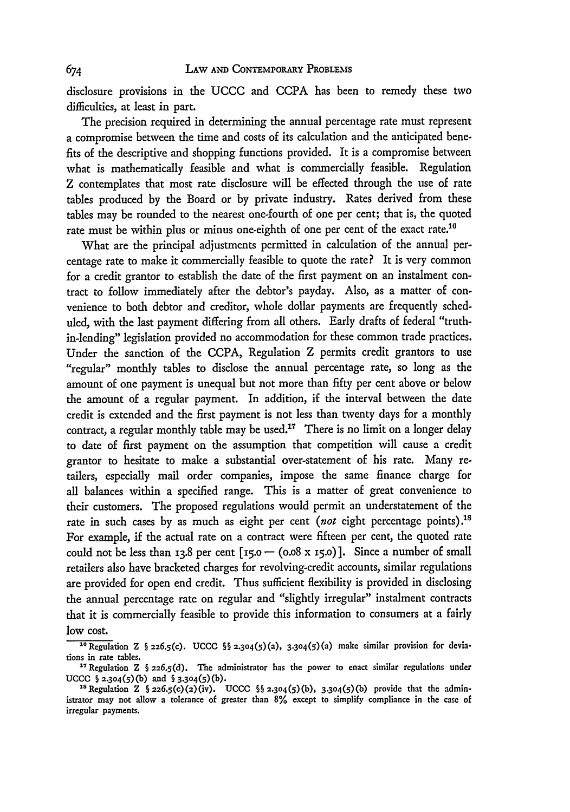disclosure provisions in the UCCC and CCPA has been to remedy these two difficulties, at least in part.

The precision required in determining the annual percentage rate must represent a compromise between the time and costs of its calculation and the anticipated benefits of the descriptive and shopping functions provided. It is a compromise between what is mathematically feasible and what is commercially feasible. Regulation Z contemplates that most rate disclosure will be effected through the use of rate tables produced by the Board or by private industry. Rates derived from these tables may be rounded to the nearest one-fourth of one per cent; that is, the quoted rate must be within plus or minus one-eighth of one per cent of the exact rate.<sup>16</sup>

What are the principal adjustments permitted in calculation of the annual percentage rate to make it commercially feasible to quote the rate? It is very common for a credit grantor to establish the date of the first payment on an instalment contract to follow immediately after the debtor's payday. Also, as a matter of convenience to both debtor and creditor, whole dollar payments are frequently scheduled, with the last payment differing from all others. Early drafts of federal "truthin-lending" legislation provided no accommodation for these common trade practices. Under the sanction of the CCPA, Regulation Z permits credit grantors to use "regular" monthly tables to disclose the annual percentage rate, so long as the amount of one payment is unequal but not more than fifty per cent above or below the amount of a regular payment. In addition, if the interval between the date credit is extended and the first payment is not less than twenty days for a monthly contract, a regular monthly table may be used.<sup>17</sup> There is no limit on a longer delay to date of first payment on the assumption that competition will cause a credit grantor to hesitate to make a substantial over-statement of his rate. Many retailers, especially mail order companies, impose the same finance charge for all balances within a specified range. This is a matter of great convenience to their customers. The proposed regulations would permit an understatement of the rate in such cases by as much as eight per cent (not eight percentage points).<sup>18</sup> For example, if the actual rate on a contract were fifteen per cent, the quoted rate could not be less than 13.8 per cent  $[x5.0 - (0.08 \times 15.0)]$ . Since a number of small retailers also have bracketed charges for revolving-credit accounts, similar regulations are provided for open end credit. Thus sufficient flexibility is provided in disclosing the annual percentage rate on regular and "slightly irregular" instalment contracts that it is commercially feasible to provide this information to consumers at a fairly low cost.

<sup>&</sup>quot;0Regulation Z **§226.5(c). UCCC §§2.304(5)(a), 3.304(5)(a)** make similar provision for deviations in rate tables.

<sup>&</sup>lt;sup>17</sup> Regulation  $Z \$   $226.5(d)$ . The administrator has the power to enact similar regulations under **UCCC § 2.304(5)(b)** and §3.304 (5)(b). " <sup>8</sup> Regulation Z **§** 226.5(c)(2)(iv). **UCCO §§ 2.304(5)(b), 3.304(5)(b)** provide that the admin-

istrator may not allow a tolerance of greater than **8%** except to simplify compliance in **the** case of irregular payments.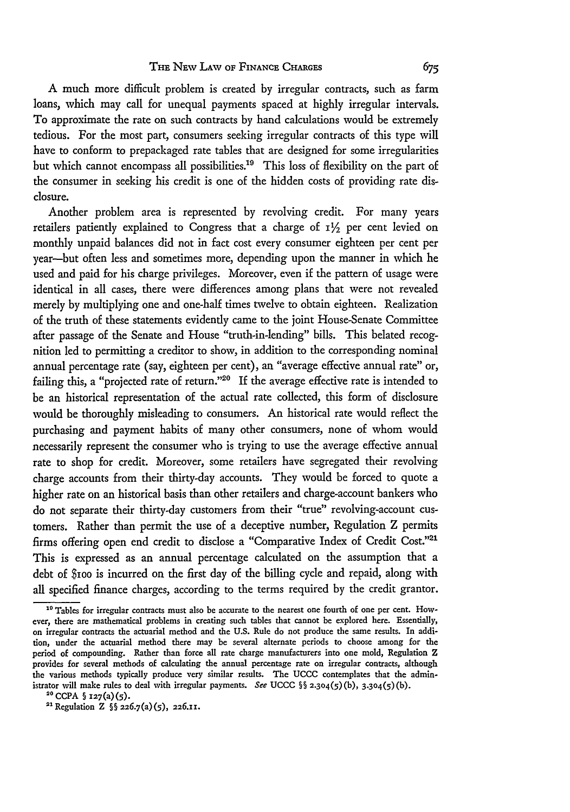A much more difficult problem is created by irregular contracts, such as farm loans, which may call for unequal payments spaced at highly irregular intervals. To approximate the rate on such contracts by hand calculations would be extremely tedious. For the most part, consumers seeking irregular contracts of this type will have to conform to prepackaged rate tables that are designed for some irregularities but which cannot encompass all possibilities.<sup>19</sup> This loss of flexibility on the part of the consumer in seeking his credit is one of the hidden costs of providing rate disclosure.

Another problem area is represented by revolving credit. For many years retailers patiently explained to Congress that a charge of  $I\frac{1}{2}$  per cent levied on monthly unpaid balances did not in fact cost every consumer eighteen per cent per year-but often less and sometimes more, depending upon the manner in which he used and paid for his charge privileges. Moreover, even if the pattern of usage were identical in all cases, there were differences among plans that were not revealed merely by multiplying one and one-half times twelve to obtain eighteen. Realization of the truth of these statements evidently came to the joint House-Senate Committee after passage of the Senate and House "truth-in-lending" bills. This belated recognition led to permitting a creditor to show, in addition to the corresponding nominal annual percentage rate (say, eighteen per cent), an "average effective annual rate" or, failing this, a "projected rate of return."<sup>20</sup> If the average effective rate is intended to be an historical representation of the actual rate collected, this form of disclosure would be thoroughly misleading to consumers. An historical rate would reflect the purchasing and payment habits of many other consumers, none of whom would necessarily represent the consumer who is trying to use the average effective annual rate to shop for credit. Moreover, some retailers have segregated their revolving charge accounts from their thirty-day accounts. They would be forced to quote a higher rate on an historical basis than other retailers and charge-account bankers who do not separate their thirty-day customers from their "true" revolving-account customers. Rather than permit the use of a deceptive number, Regulation Z permits firms offering open end credit to disclose a "Comparative Index of Credit Cost."21 This is expressed as an annual percentage calculated on the assumption that a debt of \$ioo is incurred on the first day of the billing cycle and repaid, along with all specified finance charges, according to the terms required by the credit grantor.

**<sup>&</sup>quot;** Tables **for** irregular contracts must also **be** accurate to the nearest one fourth of **one** per **cent. How**ever, there are mathematical problems in creating such tables that cannot **be** explored here. Essentially, on irregular contracts the actuarial method and the **U.S.** Rule do not produce the same results. In addi**tion,** under the actuarial method there may **be** several alternate periods to choose among for the period of compounding. Rather than force all rate charge manufacturers into one mold, Regulation Z provides for several methods of calculating the annual percentage rate on irregular contracts, although the various methods typically produce very similar results. The **UCCC** contemplates that the administrator will make rules to deal with irregular payments. *See* UCCC §§ 2.304(5)(b), 3.304(5)(b).

<sup>&</sup>lt;sup>20</sup> CCPA §  $127(a)(5)$ .

Regulation Z **§§** 226.7(a)(5), **226.11.**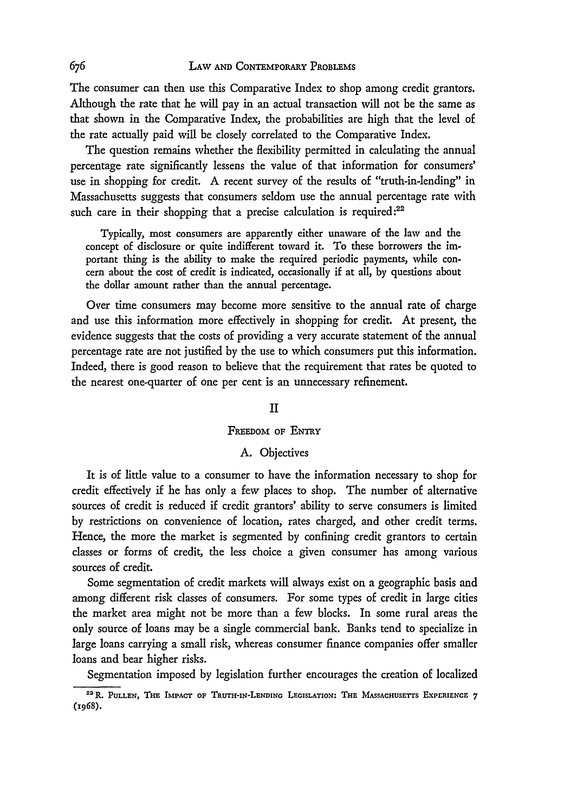The consumer can then use this Comparative Index to shop among credit grantors. Although the rate that he will pay in an actual transaction will not be the same as that shown in the Comparative Index, the probabilities are high that the level of the rate actually paid will be closely correlated to the Comparative Index.

The question remains whether the flexibility permitted in calculating the annual percentage rate significantly lessens the value of that information for consumers' use in shopping for credit. A recent survey of the results of "truth-in-lending" in Massachusetts suggests that consumers seldom use the annual percentage rate with such care in their shopping that a precise calculation is required:<sup>22</sup>

Typically, most consumers are apparently either unaware of the law and the concept of disclosure or quite indifferent toward it. To these borrowers the important thing is the ability to make the required periodic payments, while concern about the cost of credit is indicated, occasionally if at all, by questions about the dollar amount rather than the annual percentage.

Over time consumers may become more sensitive to the annual rate of charge and use this information more effectively in shopping for credit. At present, the evidence suggests that the costs of providing a very accurate statement of the annual percentage rate are not justified by the use to which consumers put this information. Indeed, there is good reason to believe that the requirement that rates be quoted to the nearest one-quarter of one per cent is an unnecessary refinement.

### II

## **FREEDOM OF ENTRY**

#### A. Objectives

It is of little value to a consumer to have the information necessary to shop for credit effectively if he has only a few places to shop. The number of alternative sources of credit is reduced if credit grantors' ability to serve consumers is limited by restrictions on convenience of location, rates charged, and other credit terms. Hence, the more the market is segmented by confining credit grantors to certain classes or forms of credit, the less choice a given consumer has among various sources of credit.

Some segmentation of credit markets will always exist on a geographic basis and among different risk classes of consumers. For some types of credit in large cities the market area might not be more than a few blocks. In some rural areas the only source of loans may be a single commercial bank. Banks tend to specialize in large loans carrying a small risk, whereas consumer finance companies offer smaller loans and bear higher risks.

Segmentation imposed by legislation further encourages the creation of localized

<sup>&</sup>lt;sup>23</sup> R. PULLEN, THE IMPACT OF TRUTH-IN-LENDING LEGISLATION: THE MASSACHUSETTS EXPERIENCE 7 **(3968).**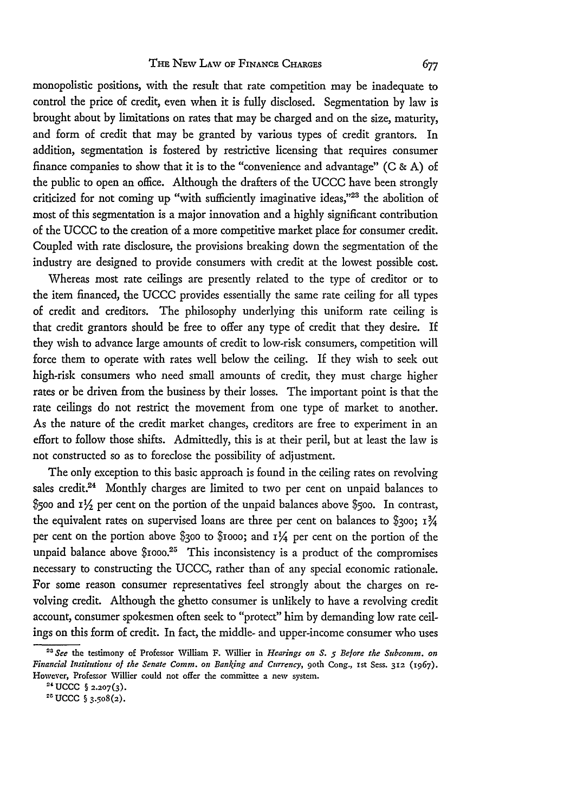monopolistic positions, with the result that rate competition may be inadequate to control the price of credit, even when it is fully disclosed. Segmentation by law is brought about by limitations on rates that may be charged and on the size, maturity, and form of credit that may be granted by various types of credit grantors. In addition, segmentation is fostered by restrictive licensing that requires consumer finance companies to show that it is to the "convenience and advantage" (C & A) of the public to open an office. Although the drafters of the UCCC have been strongly criticized for not coming up "with sufficiently imaginative ideas,"23 the abolition of most of this segmentation is a major innovation and a highly significant contribution of the UCCC to the creation of a more competitive market place for consumer credit. Coupled with rate disclosure, the provisions breaking down the segmentation of the industry are designed to provide consumers with credit at the lowest possible cost.

Whereas most rate ceilings are presently related to the type of creditor or to the item financed, the UCCC provides essentially the same rate ceiling for **all** types of credit and creditors. The philosophy underlying this uniform rate ceiling is that credit grantors should be free to offer any type of credit that they desire. If they wish to advance large amounts of credit to low-risk consumers, competition will force them to operate with rates well below the ceiling. If they wish to seek out high-risk consumers who need small amounts of credit, they must charge higher rates or be driven from the business by their losses. The important point is that the rate ceilings do not restrict the movement from one type of market to another. As the nature of the credit market changes, creditors are free to experiment in an effort to follow those shifts. Admittedly, this is at their peril, but at least the law is not constructed so as to foreclose the possibility of adjustment.

The only exception to this basic approach is found in the ceiling rates on revolving sales credit. $24$  Monthly charges are limited to two per cent on unpaid balances to  $$500$  and  $1\frac{1}{2}$  per cent on the portion of the unpaid balances above \$500. In contrast, the equivalent rates on supervised loans are three per cent on balances to  $\S$ 300;  $1\frac{3}{4}$ per cent on the portion above \$300 to \$1000; and 1<sup>1</sup>/4 per cent on the portion of the unpaid balance above  $$1000.<sup>25</sup>$  This inconsistency is a product of the compromises necessary to constructing the UCCC, rather than of any special economic rationale. For some reason consumer representatives feel strongly about the charges on revolving credit. Although the ghetto consumer is unlikely to have a revolving credit account, consumer spokesmen often seek to "protect" him by demanding low rate ceilings on this form of credit. In fact, the middle- and upper-income consumer who uses

*<sup>&</sup>quot;See* the testimony of Professor William F. Willier in *Hearings on S. 5 Before the Subcomm. on Financial Institutions of the Senate Comm. on Banking and Currency,* goth Cong., *ist* Sess. **312** (x967). However, Professor Willier could **not** offer the committee **a** new system.

<sup>&</sup>quot;2UCCC § **2.207(3).**

**<sup>&</sup>quot; UCCC** § **3.508(2).**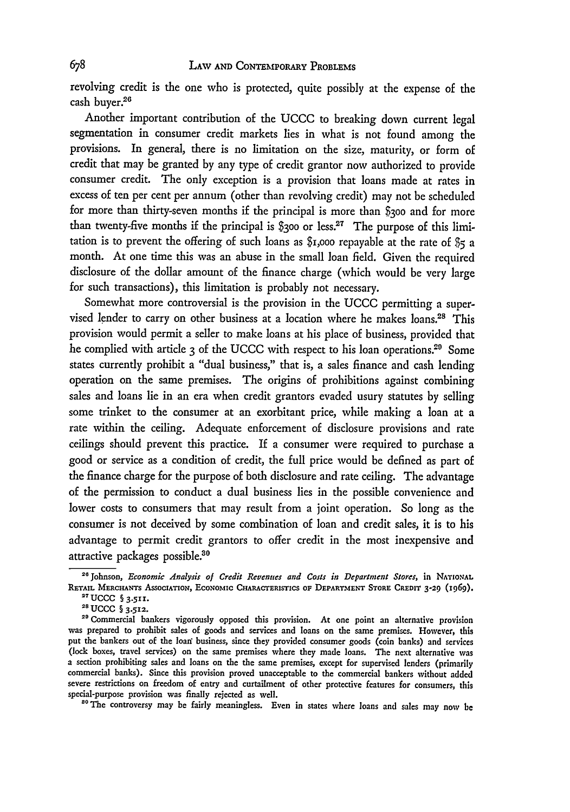revolving credit is the one who is protected, quite possibly at the expense of the cash buyer.26

Another important contribution of the UCCC to breaking down current legal segmentation in consumer credit markets lies in what is not found among the provisions. In general, there is no limitation on the size, maturity, or form of credit that may be granted by any type of credit grantor now authorized to provide consumer credit. The only exception is a provision that loans made at rates in excess of ten per cent per annum (other than revolving credit) may not be scheduled for more than thirty-seven months if the principal is more than **\$3oo** and for more than twenty-five months **if** the principal is \$3oo or less.27 The purpose of this limitation is to prevent the offering of such loans **as** \$1,ooo repayable at the rate of **\$5** a month. At one time this was an abuse in the small loan field. Given the required disclosure of the dollar amount of the finance charge (which would be very large for such transactions), this limitation is probably not necessary.

Somewhat more controversial is the provision in the UCCC permitting a supervised lender to carry on other business at a location where he makes loans.<sup>28</sup> This provision would permit a seller to make loans at his place of business, provided that he complied with article  $3$  of the UCCC with respect to his loan operations.<sup>20</sup> Some states currently prohibit a "dual business," that is, a sales finance and cash lending operation on the same premises. The origins of prohibitions against combining sales and loans lie in an era when credit grantors evaded usury statutes by selling some trinket to the consumer at an exorbitant price, while making a loan at a rate within the ceiling. Adequate enforcement of disclosure provisions and rate ceilings should prevent this practice. If a consumer were required to purchase a good or service as a condition of credit, the full price would be defined as part of the finance charge for the purpose of both disclosure and rate ceiling. The advantage of the permission to conduct a dual business lies in the possible convenience and lower costs to consumers that may result from a joint operation. So long as the consumer is not deceived by some combination of loan and credit sales, it is to his advantage to permit credit grantors to offer credit in the most inexpensive and attractive packages possible.<sup>30</sup>

<sup>30</sup> The controversy may be fairly meaningless. Even in states where loans and sales may now be

**<sup>&</sup>quot;** Johnson, *Economic Analysis of Credit Revenues and Costs in Department Stores,* in **NATIONAL** RETAIL MERCHANTS ASSOCIATION, ECONOMIC CHARACTERISTICS OF DEPARTMENT STORE CREDIT 3-29 (1969).<br><sup>27</sup> UCCC § 3.511.

**<sup>28</sup> UCCC** § **3.512.**

<sup>&</sup>lt;sup>29</sup> Commercial bankers vigorously opposed this provision. At one point an alternative provision was prepared to prohibit sales of goods and services and loans on the same premises. However, this put the bankers out of the loan business, since they provided consumer goods (coin banks) and services (lock boxes, travel services) on the same premises where they made loans. The next alternative was a section prohibiting sales and loans on the the same premises, except for supervised lenders (primarily commercial banks). Since this provision proved unacceptable to the commercial bankers without added severe restrictions on freedom of entry and curtailment of other protective features for consumers, this special-purpose provision was finally rejected as well.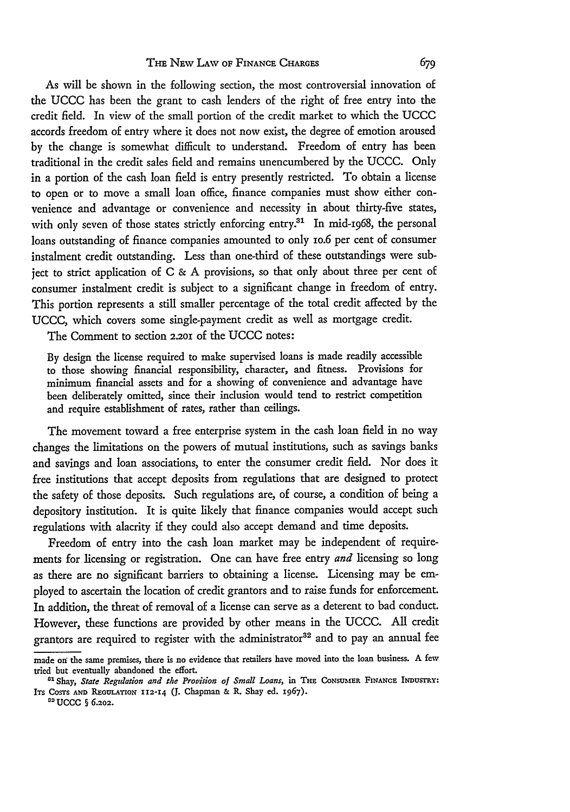As will be shown in the following section, the most controversial innovation of the UCCC has been the grant to cash lenders of the right of free entry into the credit field. In view of the small portion of the credit market to which the UCCC accords freedom of entry where it does not now exist, the degree of emotion aroused by the change is somewhat difficult to understand. Freedom of entry has been traditional in the credit sales field and remains unencumbered by the UCCC. Only in a portion of the cash loan field is entry presently restricted. To obtain a license to open or to move a small loan office, finance companies must show either convenience and advantage or convenience and necessity in about thirty-five states, with only seven of those states strictly enforcing entry.<sup>31</sup> In mid-1968, the personal loans outstanding of finance companies amounted to only io.6 per cent of consumer instalment credit outstanding. Less than one-third of these outstandings were subject to strict application of C & **A** provisions, so that only about three per cent of consumer instalment credit is subject to a significant change in freedom of entry. This portion represents a still smaller percentage of the total credit affected by the UCCC, which covers some single-payment credit as well as mortgage credit.

The Comment to section **2.2oi** of the UCCC notes:

By design the license required to make supervised loans is made readily accessible to those showing financial responsibility, character, and fitness. Provisions for minimum financial assets and for a showing of convenience and advantage have been deliberately omitted, since their inclusion would tend to restrict competition and require establishment of rates, rather than ceilings.

The movement toward a free enterprise system in the cash loan field in no way changes the limitations on the powers of mutual institutions, such as savings banks and savings and loan associations, to enter the consumer credit field. Nor does it free institutions that accept deposits from regulations that are designed to protect the safety of those deposits. Such regulations are, of course, a condition of being a depository institution. It is quite likely that finance companies would accept such regulations with alacrity if they could also accept demand and time deposits.

Freedom of entry into the cash loan market may be independent of requirements for licensing or registration. One can have free entry *and* licensing so long as there are no significant barriers to obtaining a license. Licensing may be employed to ascertain the location of credit grantors and to raise funds for enforcement. In addition, the threat of removal of a license can serve as a deterent to bad conduct. However, these functions are provided by other means in the UCCC. All credit grantors are required to register with the administrator<sup>32</sup> and to pay an annual fee

made on the same premises, there is no evidence that retailers have moved into the loan business. A few

<sup>&</sup>lt;sup>81</sup> Shay, *State Regulation and the Provision of Small Loans*, in THE CONSUMER FINANCE INDUSTRY: ITS COSTS AND REGULATION 112-14 (J. Chapman & R. Shay ed. 1967).

**<sup>&</sup>quot;** UCCC § **6.202.**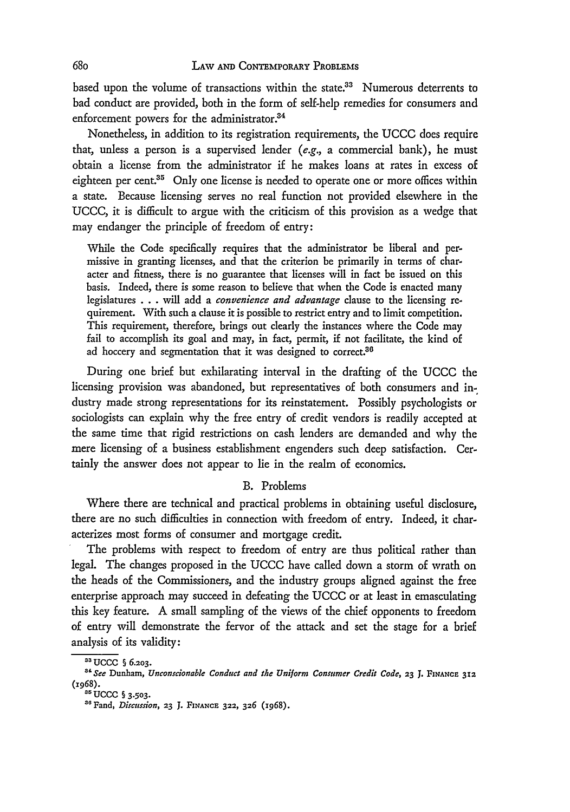based upon the volume of transactions within the state.<sup>33</sup> Numerous deterrents to bad conduct are provided, both in the form of self-help remedies for consumers and enforcement powers for the administrator.<sup>34</sup>

Nonetheless, in addition to its registration requirements, the UCCC does require that, unless a person is a supervised lender *(e.g.,* a commercial bank), he must obtain a license from the administrator **if** he makes loans at rates in excess of eighteen per cent. $35$  Only one license is needed to operate one or more offices within a state. Because licensing serves no real function not provided elsewhere in the UCCC, it is difficult to argue with the criticism of this provision as a wedge that may endanger the principle of freedom of entry:

While the Code specifically requires that the administrator be liberal and permissive in granting licenses, and that the criterion be primarily in terms of character and fitness, there is no guarantee that licenses will in fact be issued on this basis. Indeed, there is some reason to believe that when the Code is enacted many legislatures ...will add a *convenience and advantage* clause to the licensing requirement. With such a clause it is possible to restrict entry and to limit competition. This requirement, therefore, brings out clearly the instances where the Code may fail to accomplish its goal and may, in fact, permit, if not facilitate, the kind of ad hoccery and segmentation that it was designed to correct.<sup>36</sup>

During one brief but exhilarating interval in the drafting of the **UCCC** the licensing provision was abandoned, but representatives of both consumers and industry made strong representations for its reinstatement. Possibly psychologists or sociologists can explain why the free entry of credit vendors is readily accepted at the same time that rigid restrictions on cash lenders are demanded and why the mere licensing of a business establishment engenders such deep satisfaction. Certainly the answer does not appear to lie in the realm of economics.

## B. Problems

Where there are technical and practical problems in obtaining useful disclosure, there are no such difficulties in connection with freedom of entry. Indeed, it characterizes most forms of consumer and mortgage credit.

The problems with respect to freedom of entry are thus political rather than legal. The changes proposed in the UCCC have called down a storm of wrath on the heads of the Commissioners, and the industry groups aligned against the free enterprise approach may succeed in defeating the UCCC or at least in emasculating this key feature. A small sampling of the views of the chief opponents to freedom of entry will demonstrate the fervor of the attack and set the stage for a brief analysis of its validity:

**<sup>&</sup>quot;UCCC** § **6.203.**

*<sup>&</sup>quot;See* Dunham, *Unconsionable Conduct and the Uniform Consumer Credit Code, 23* **J.** FINANCE **312 (x968).**

**<sup>3&</sup>quot; UCCC** § **3.503.**

<sup>&</sup>lt;sup>36</sup> Fand, *Discussion*, 23 J. FINANCE 322, 326 (1968).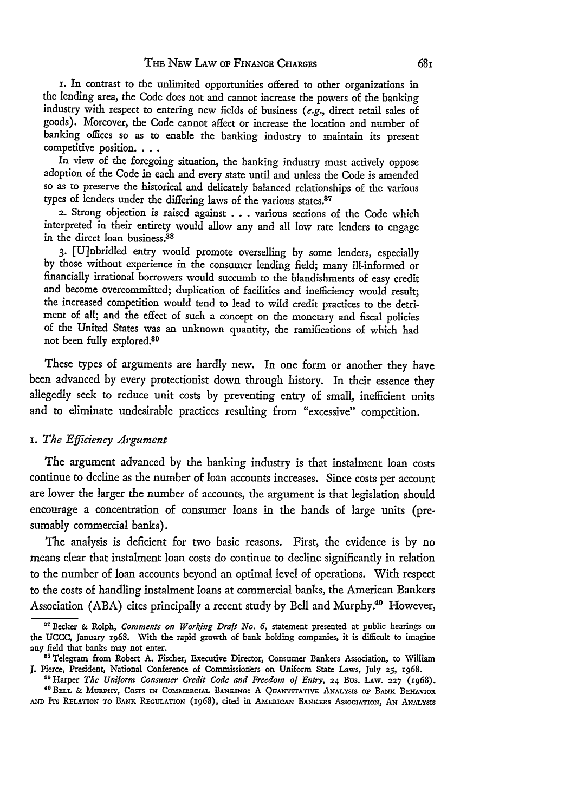**i.** In contrast to the unlimited opportunities offered to other organizations in the lending area, the Code does not and cannot increase the powers of the banking industry with respect to entering new fields of business *(e.g.,* direct retail sales of goods). Moreover, the Code cannot affect or increase the location and number of banking offices so as to enable the banking industry to maintain its present competitive position. . . .

In view of the foregoing situation, the banking industry must actively oppose adoption of the Code in each and every state until and unless the Code is amended so as to preserve the historical and delicately balanced relationships of the various types of lenders under the differing laws of the various states.<sup>37</sup>

2. Strong objection is raised against . . . various sections of the Code which interpreted in their entirety would allow any and all low rate lenders to engage in the direct loan business.<sup>38</sup>

3. [U]nbridled entry would promote overselling by some lenders, especially by those without experience in the consumer lending field; many ill-informed or financially irrational borrowers would succumb to the blandishments of easy credit and become overcommitted; duplication of facilities and inefficiency would result; the increased competition would tend to lead to wild credit practices to the detriment of all; and the effect of such a concept on the monetary and fiscal policies of the United States was an unknown quantity, the ramifications of which had not been fully explored.<sup>39</sup>

These types of arguments are hardly new. In one form or another they have been advanced by every protectionist down through history. In their essence they allegedly seek to reduce unit costs by preventing entry of small, inefficient units and to eliminate undesirable practices resulting from "excessive" competition.

#### *i. The Efficiency Argument*

The argument advanced by the banking industry is that instalment loan costs continue to decline as the number of loan accounts increases. Since costs per account are lower the larger the number of accounts, the argument is that legislation should encourage a concentration of consumer loans in the hands of large units (presumably commercial banks).

The analysis is deficient for two basic reasons. First, the evidence is by no means clear that instalment loan costs do continue to decline significantly in relation to the number of loan accounts beyond an optimal level of operations. With respect to the costs of handling instalment loans at commercial banks, the American Bankers Association (ABA) cites principally a recent study by Bell and Murphy.<sup>40</sup> However,

<sup>&</sup>lt;sup>37</sup> Becker & Rolph, *Comments on Working Draft No. 6*, statement presented at public hearings on the **UCCC,** January 1968. With the rapid growth of bank holding companies, it is difficult to imagine any field that banks may not enter.

**<sup>&</sup>quot;** Telegram from Robert A. Fischer, Executive Director, Consumer Bankers Association, to William **J.** Pierce, President, National Conference of Commissioners on Uniform State Laws, July **25,** *I968.*

<sup>&</sup>lt;sup>30</sup> Harper *The Uniform Consumer Credit Code and Freedom of Entry,* 24 Bus. LAw. 227 (1968).

<sup>&</sup>lt;sup>40</sup> BELL & MURPHY, COSTS IN COMMERCIAL BANKING: A QUANTITATIVE ANALYSIS OF BANK BEHAVIOR AND ITS RELATION TO BANK REGULATION (1968), cited in AMERICAN BANKERS ASSOCIATION, AN ANALYSIS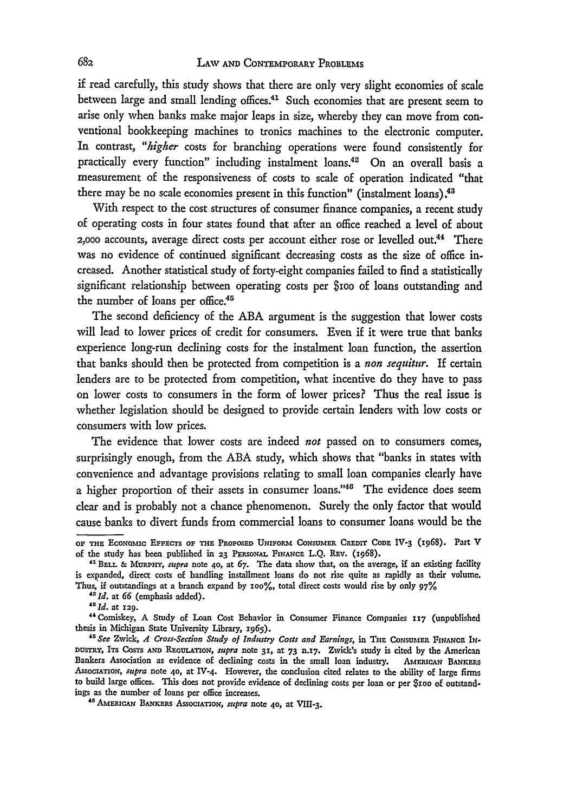if read carefully, this study shows that there are only very slight economies of scale between large and small lending offices.<sup>41</sup> Such economies that are present seem to arise only when banks make major leaps in size, whereby they can move from conventional bookkeeping machines to tronics machines to the electronic computer. In contrast, *"higher* costs for branching operations were found consistently for practically every function" including instalment loans.<sup>42</sup> On an overall basis a measurement of the responsiveness of costs to scale of operation indicated "that there may be no scale economies present in this function" (instalment loans).<sup>43</sup>

With respect to the cost structures of consumer finance companies, a recent study of operating costs in four states found that after an office reached a level of about  $2,000$  accounts, average direct costs per account either rose or levelled out.<sup>44</sup> There was no evidence of continued significant decreasing costs as the size of office increased. Another statistical study of forty-eight companies failed to find a statistically significant relationship between operating costs per \$100 of loans outstanding and the number of loans per office.45

The second deficiency of the ABA argument is the suggestion that lower costs will lead to lower prices of credit for consumers. Even if it were true that banks experience long-run declining costs for the instalment loan function, the assertion that banks should then be protected from competition is a *non sequitur.* If certain lenders are to be protected from competition, what incentive do they have to pass on lower costs to consumers in the form of lower prices? Thus the real issue is whether legislation should be designed to provide certain lenders with low costs or consumers with low prices.

The evidence that lower costs are indeed *not* passed on to consumers comes, surprisingly enough, from the ABA study, which shows that "banks in states with convenience and advantage provisions relating to small loan companies clearly have a higher proportion of their assets in consumer loans."<sup>46</sup> The evidence does seem clear and is probably not a chance phenomenon. Surely the only factor that would cause banks to divert funds from commercial loans to consumer loans would be the

or **THE** EcoNonic ErEacrs or THE PRoPosED UNIFoRM **CONSUMER** CREDIT **CODE** IV-3 **(1968).** Part V of the study has been published in **23** PEsONA. FINANCE **L.Q.** REv. (1968).

**<sup>&</sup>quot;** *B..* **&** *MURPHY, supra* note **4o,** at **67.** The data show that, on the average, if an existing facility is expanded, direct costs of handling installment loans do not rise quite as rapidly as their volume. Thus, if outstandings at a branch expand **by** ioo%, total direct costs would rise **by** only 97%

<sup>&</sup>lt;sup>42</sup> Id. at 66 (emphasis added).

*<sup>&#</sup>x27; <sup>5</sup> ld.* at **129.**

<sup>&</sup>quot;Comiskey, A Study of Loan Cost Behavior in Consumer Finance Companies **117** (unpublished thesis in Michigan State University Library, x965).

*<sup>&</sup>quot; See* Zwick, *A Cross-Section Study of Indistry Costs and Earnings,* in **THE** CONSUMER **FINANCE** *IN-***DUSTRY,** ITs COSTs **AND REGULATioN,** *supra* note **31,** at 73 **n.17.** Zwick's study is cited **by** the American Bankers Association as evidence of declining costs in the small loan industry. **AMERICAN BANKERS** *ASSOCIATION, supra* note **4o,** at IV-4. However, the conclusion cited relates to the ability of large firms to build large offices. This does not provide evidence of declining costs per loan or per \$100 of outstandings as the number of loans per office increases.

<sup>&</sup>lt;sup>46</sup> AMERICAN BANKERS ASSOCIATION, *supra* note 40, at VIII-3.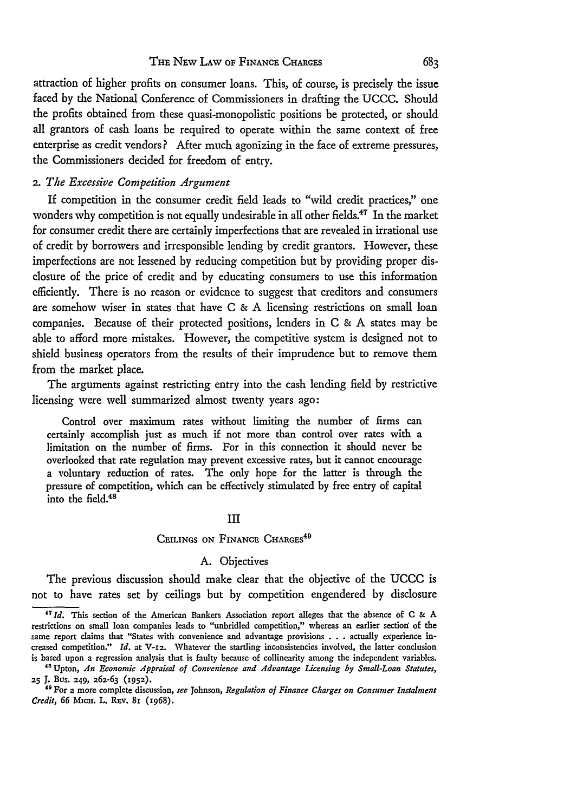attraction of higher profits on consumer loans. This, of course, is precisely the issue faced by the National Conference of Commissioners in drafting the UCCC. Should the profits obtained from these quasi-monopolistic positions be protected, or should all grantors of cash loans be required to operate within the same context of free enterprise as credit vendors? After much agonizing in the face of extreme pressures, the Commissioners decided for freedom of entry.

## 2. *The Excessive Competition Argument*

If competition in the consumer credit field leads to "wild credit practices," one wonders why competition is not equally undesirable in all other fields.<sup>47</sup> In the market for consumer credit there are certainly imperfections that are revealed in irrational use of credit by borrowers and irresponsible lending by credit grantors. However, these imperfections are not lessened by reducing competition but by providing proper disclosure of the price of credit and by educating consumers to use this information efficiently. There is no reason or evidence to suggest that creditors and consumers are somehow wiser in states that have C & **A** licensing restrictions on small loan companies. Because of their protected positions, lenders in C & A states may be able to afford more mistakes. However, the competitive system is designed not to shield business operators from the results of their imprudence but to remove them from the market place.

The arguments against restricting entry into the cash lending field by restrictive licensing were well summarized almost twenty years ago:

Control over maximum rates without limiting the number of firms can certainly accomplish just as much if not more than control over rates with a limitation on the number of firms. For in this connection it should never be overlooked that rate regulation may prevent excessive rates, but it cannot encourage a voluntary reduction of rates. The only hope for the latter is through the pressure of competition, which can be effectively stimulated by free entry of capital into the field. <sup>48</sup>

#### III

#### CEILINGS ON FINANCE CHARGES<sup>49</sup>

#### A. Objectives

The previous discussion should make clear that the objective of the UCCC is not to have rates set by ceilings but by competition engendered by disclosure

*<sup>&</sup>quot; Id.* This section of the American Bankers Association report alleges that the absence of C **&** A restrictions on small loan companies leads to "unbridled competition," whereas an earlier section of the same report claims that "States with convenience and advantage provisions . . . actually experience increased competition." *Id.* at V-r2. Whatever the startling inconsistencies involved, the latter conclusion is based upon a regression analysis that is faulty because of collinearity among the independent variables.

**<sup>&</sup>quot;** Upton, *An Economic Appraisal of Convenience and Advantage Licensing by Small-Loan Statutes,* **25 J.** Bus. **249, 262-63** (952). **"\*** For a more complete discussion, *see* Johnson, *Regulation of Finance Charges on Consumer Instalment*

*Credit, 66* **MicH.** L. REv. 8i (1968).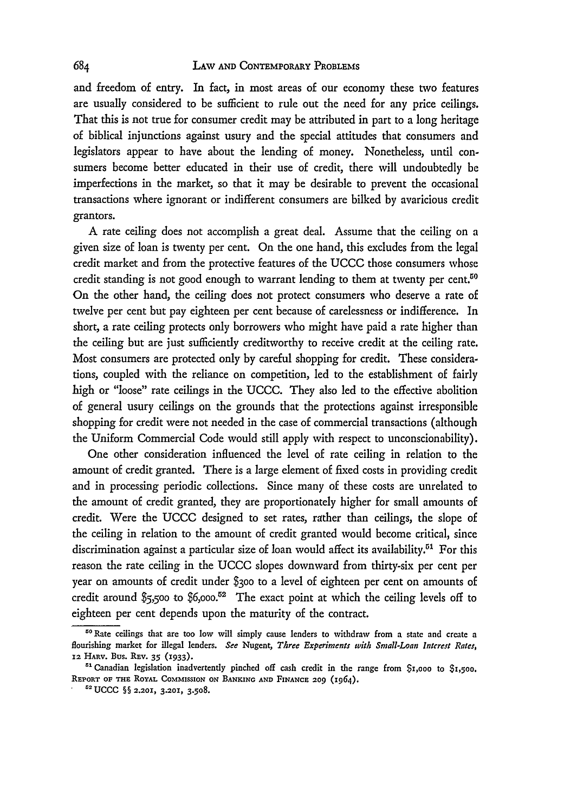and freedom of entry. In fact, in most areas of our economy these two features are usually considered to be sufficient to rule out the need for any price ceilings. That this is not true for consumer credit may be attributed in part to a long heritage of biblical injunctions against usury and the special attitudes that consumers and legislators appear to have about the lending of money. Nonetheless, until consumers become better educated in their use of credit, there will undoubtedly be imperfections in the market, so that it may be desirable to prevent the occasional transactions where ignorant or indifferent consumers are bilked by avaricious credit grantors.

A rate ceiling does not accomplish a great deal. Assume that the ceiling on a given size of loan is twenty per cent. On the one hand, this excludes from the legal credit market and from the protective features of the UCCC those consumers whose credit standing is not good enough to warrant lending to them at twenty per cent.<sup>50</sup> On the other hand, the ceiling does not protect consumers who deserve a rate of twelve per cent but pay eighteen per cent because of carelessness or indifference. In short, a rate ceiling protects only borrowers who might have paid a rate higher than the ceiling but are just sufficiendy creditworthy to receive credit at the ceiling rate. Most consumers are protected only by careful shopping for credit. These considerations, coupled with the reliance on competition, led to the establishment of fairly high or "loose" rate ceilings in the UCCC. They also led to the effective abolition of general usury ceilings on the grounds that the protections against irresponsible shopping for credit were not needed in the case of commercial transactions (although the Uniform Commercial Code would still apply with respect to unconscionability).

One other consideration influenced the level of rate ceiling in relation to the amount of credit granted. There is a large element of fixed costs in providing credit and in processing periodic collections. Since many of these costs are unrelated to the amount of credit granted, they are proportionately higher for small amounts of credit. Were the UCCC designed to set rates, rather than ceilings, the slope of the ceiling in relation to the amount of credit granted would become critical, since discrimination against a particular size of loan would affect its availability.<sup>51</sup> For this reason the rate ceiling in the UCCC slopes downward from thirty-six per cent per year on amounts of credit under \$3oo to a level of eighteen per cent on amounts of credit around \$5,500 to \$6,000.<sup>52</sup> The exact point at which the ceiling levels off to eighteen per cent depends upon the maturity of the contract.

<sup>&</sup>quot;°Rate ceilings **that are too low** will **simply cause** lenders **to withdraw** from a state and create **a** flourishing market **for** illegal lenders. *See* Nugent, *Three Experiments with Small-Loan Interest Rates,* **x2 HARv. Bus. Rav. 35 (x933).**

<sup>&</sup>lt;sup>51</sup> Canadian legislation inadvertently pinched off cash credit in the range from \$1,000 to \$1,500. REPORT OF THE ROYAL COMMISSION ON BANKING AND FINANCE 209 (1964).<br> **.** *<sup>t2</sup>* **UCCC §§ 2.201, 3.201, 3.508.**